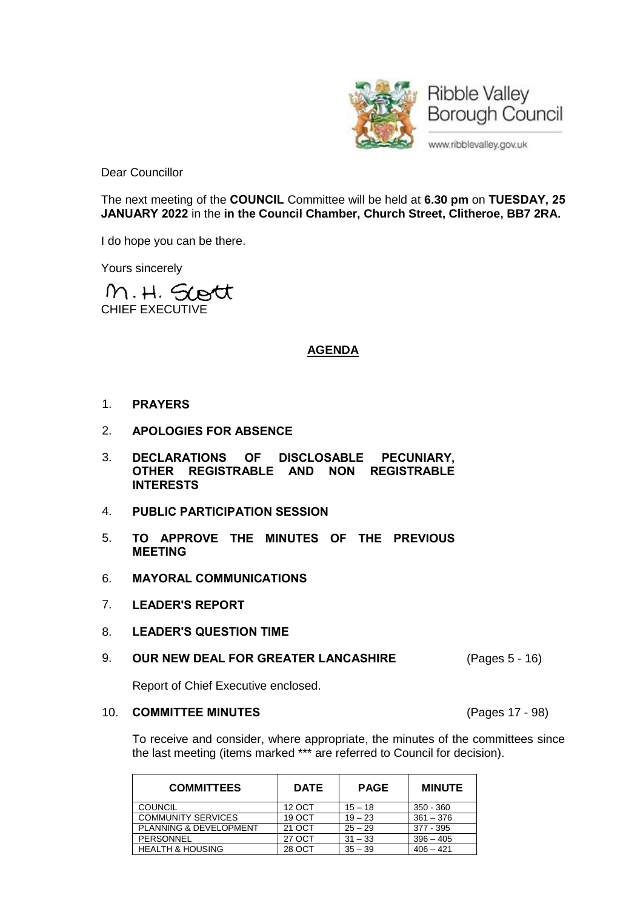

Dear Councillor

The next meeting of the **COUNCIL** Committee will be held at **6.30 pm** on **TUESDAY, 25 JANUARY 2022** in the **in the Council Chamber, Church Street, Clitheroe, BB7 2RA.**

I do hope you can be there.

Yours sincerely

M.H. Scott CHIEF EXECUTIVE

# **AGENDA**

- 1. **PRAYERS**
- 2. **APOLOGIES FOR ABSENCE**
- 3. **DECLARATIONS OF DISCLOSABLE PECUNIARY, OTHER REGISTRABLE AND NON REGISTRABLE INTERESTS**
- 4. **PUBLIC PARTICIPATION SESSION**
- 5. **TO APPROVE THE MINUTES OF THE PREVIOUS MEETING**
- 6. **MAYORAL COMMUNICATIONS**
- 7. **LEADER'S REPORT**
- 8. **LEADER'S QUESTION TIME**

### 9. **OUR NEW DEAL FOR GREATER LANCASHIRE** (Pages 5 - 16)

Report of Chief Executive enclosed.

#### 10. **COMMITTEE MINUTES** (Pages 17 - 98)

To receive and consider, where appropriate, the minutes of the committees since the last meeting (items marked \*\*\* are referred to Council for decision).

| <b>COMMITTEES</b>           | <b>DATE</b> | <b>PAGE</b> | <b>MINUTE</b> |
|-----------------------------|-------------|-------------|---------------|
| <b>COUNCIL</b>              | 12 OCT      | $15 - 18$   | 350 - 360     |
| <b>COMMUNITY SERVICES</b>   | 19 OCT      | $19 - 23$   | $361 - 376$   |
| PLANNING & DEVELOPMENT      | 21 OCT      | $25 - 29$   | $377 - 395$   |
| PERSONNEL                   | 27 OCT      | $31 - 33$   | $396 - 405$   |
| <b>HEALTH &amp; HOUSING</b> | 28 OCT      | $35 - 39$   | $406 - 421$   |